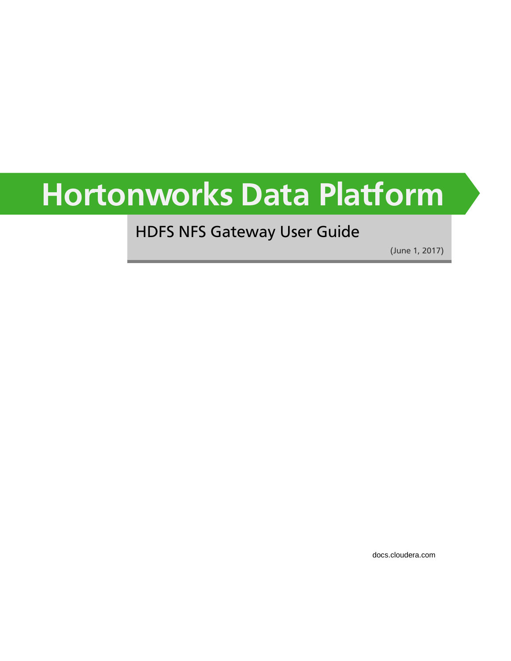# **Hortonworks Data Platform**

# HDFS NFS Gateway User Guide

(June 1, 2017)

[docs.cloudera.com](http://docs.cloudera.com)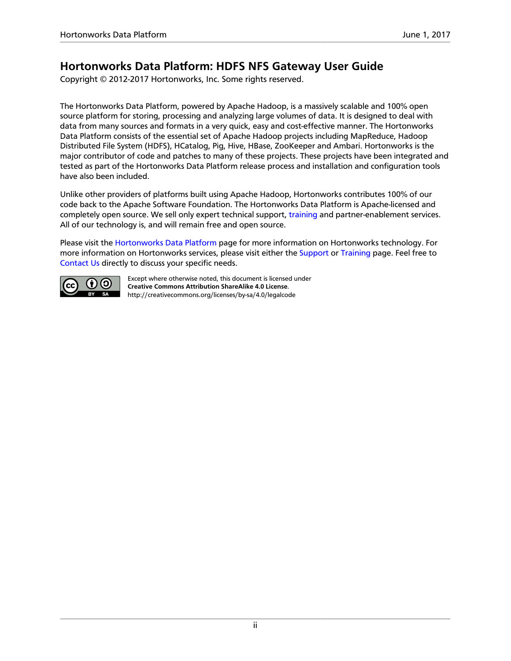## **Hortonworks Data Platform: HDFS NFS Gateway User Guide**

Copyright © 2012-2017 Hortonworks, Inc. Some rights reserved.

The Hortonworks Data Platform, powered by Apache Hadoop, is a massively scalable and 100% open source platform for storing, processing and analyzing large volumes of data. It is designed to deal with data from many sources and formats in a very quick, easy and cost-effective manner. The Hortonworks Data Platform consists of the essential set of Apache Hadoop projects including MapReduce, Hadoop Distributed File System (HDFS), HCatalog, Pig, Hive, HBase, ZooKeeper and Ambari. Hortonworks is the major contributor of code and patches to many of these projects. These projects have been integrated and tested as part of the Hortonworks Data Platform release process and installation and configuration tools have also been included.

Unlike other providers of platforms built using Apache Hadoop, Hortonworks contributes 100% of our code back to the Apache Software Foundation. The Hortonworks Data Platform is Apache-licensed and completely open source. We sell only expert technical support, [training](https://hortonworks.com/training/) and partner-enablement services. All of our technology is, and will remain free and open source.

Please visit the [Hortonworks Data Platform](https://hortonworks.com/products/hdp/) page for more information on Hortonworks technology. For more information on Hortonworks services, please visit either the [Support](https://hortonworks.com/services/) or [Training](https://hortonworks.com/training/) page. Feel free to [Contact Us](https://hortonworks.com/contact-us/) directly to discuss your specific needs.



Except where otherwise noted, this document is licensed under **[Creative Commons Attribution ShareAlike 4.0 License](http://creativecommons.org/licenses/by-sa/4.0/legalcode)**. <http://creativecommons.org/licenses/by-sa/4.0/legalcode>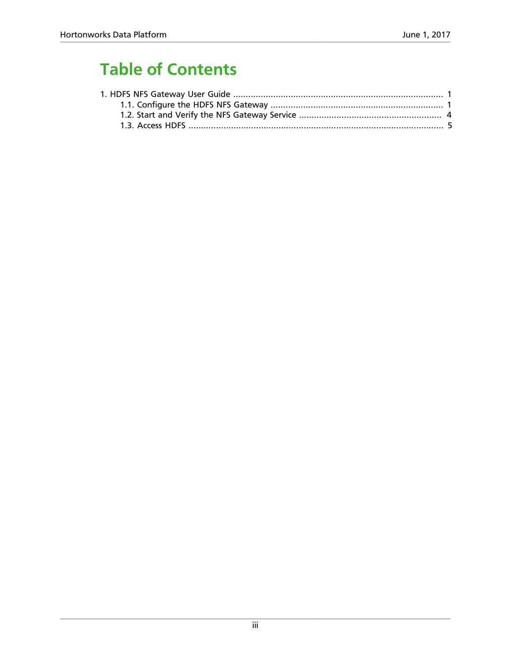# **Table of Contents**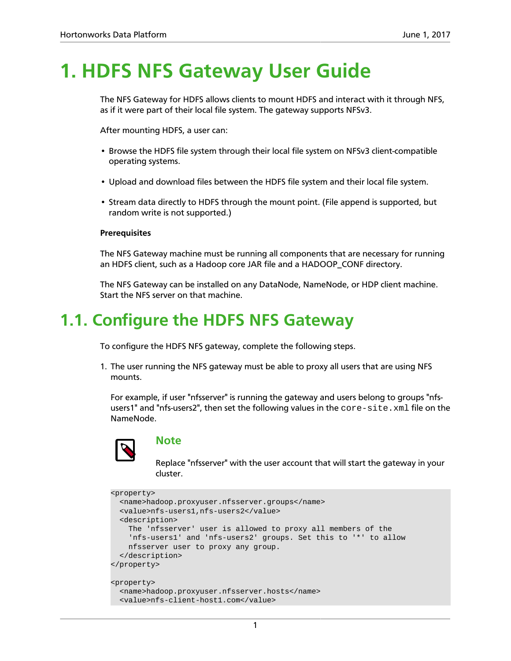# <span id="page-3-0"></span>**1. HDFS NFS Gateway User Guide**

The NFS Gateway for HDFS allows clients to mount HDFS and interact with it through NFS, as if it were part of their local file system. The gateway supports NFSv3.

After mounting HDFS, a user can:

- Browse the HDFS file system through their local file system on NFSv3 client-compatible operating systems.
- Upload and download files between the HDFS file system and their local file system.
- Stream data directly to HDFS through the mount point. (File append is supported, but random write is not supported.)

#### **Prerequisites**

The NFS Gateway machine must be running all components that are necessary for running an HDFS client, such as a Hadoop core JAR file and a HADOOP\_CONF directory.

The NFS Gateway can be installed on any DataNode, NameNode, or HDP client machine. Start the NFS server on that machine.

## <span id="page-3-1"></span>**1.1. Configure the HDFS NFS Gateway**

To configure the HDFS NFS gateway, complete the following steps.

1. The user running the NFS gateway must be able to proxy all users that are using NFS mounts.

For example, if user "nfsserver" is running the gateway and users belong to groups "nfsusers1" and "nfs-users2", then set the following values in the core-site.xml file on the NameNode.



#### **Note**

Replace "nfsserver" with the user account that will start the gateway in your cluster.

```
<property>
   <name>hadoop.proxyuser.nfsserver.groups</name>
   <value>nfs-users1,nfs-users2</value>
   <description>
    The 'nfsserver' user is allowed to proxy all members of the
     'nfs-users1' and 'nfs-users2' groups. Set this to '*' to allow
    nfsserver user to proxy any group.
  </description>
</property>
<property>
  <name>hadoop.proxyuser.nfsserver.hosts</name>
  <value>nfs-client-host1.com</value>
```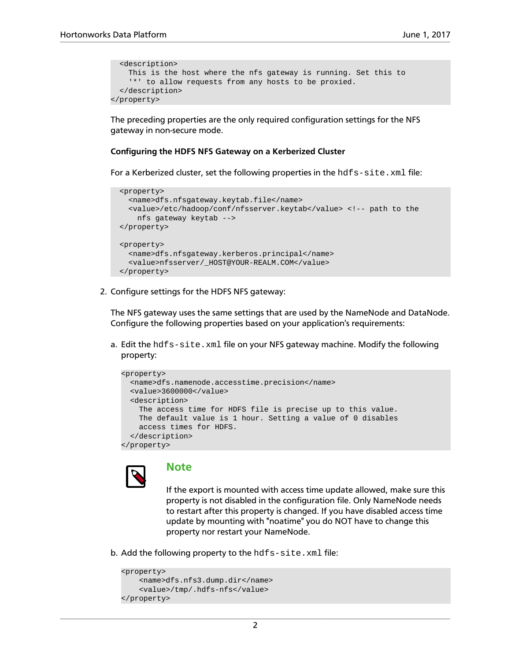```
 <description>
    This is the host where the nfs gateway is running. Set this to
     '*' to allow requests from any hosts to be proxied.
  </description>
</property>
```
The preceding properties are the only required configuration settings for the NFS gateway in non-secure mode.

#### **Configuring the HDFS NFS Gateway on a Kerberized Cluster**

For a Kerberized cluster, set the following properties in the hdfs-site.xml file:

```
 <property>
  <name>dfs.nfsgateway.keytab.file</name>
   <value>/etc/hadoop/conf/nfsserver.keytab</value> <!-- path to the
    nfs gateway keytab -->
 </property>
 <property>
   <name>dfs.nfsgateway.kerberos.principal</name>
   <value>nfsserver/_HOST@YOUR-REALM.COM</value>
 </property>
```
2. Configure settings for the HDFS NFS gateway:

The NFS gateway uses the same settings that are used by the NameNode and DataNode. Configure the following properties based on your application's requirements:

a. Edit the hdfs-site.xml file on your NFS gateway machine. Modify the following property:

```
<property>
  <name>dfs.namenode.accesstime.precision</name>
  <value>3600000</value>
  <description>
    The access time for HDFS file is precise up to this value.
    The default value is 1 hour. Setting a value of 0 disables
    access times for HDFS.
  </description>
</property>
```


## **Note**

If the export is mounted with access time update allowed, make sure this property is not disabled in the configuration file. Only NameNode needs to restart after this property is changed. If you have disabled access time update by mounting with "noatime" you do NOT have to change this property nor restart your NameNode.

b. Add the following property to the hdfs-site.xml file:

```
<property> 
    <name>dfs.nfs3.dump.dir</name> 
     <value>/tmp/.hdfs-nfs</value> 
</property>
```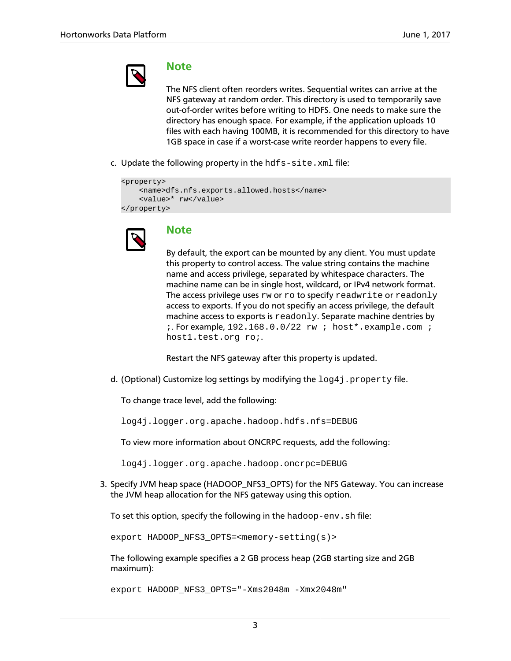

#### **Note**

The NFS client often reorders writes. Sequential writes can arrive at the NFS gateway at random order. This directory is used to temporarily save out-of-order writes before writing to HDFS. One needs to make sure the directory has enough space. For example, if the application uploads 10 files with each having 100MB, it is recommended for this directory to have 1GB space in case if a worst-case write reorder happens to every file.

c. Update the following property in the  $hdfs - site$ .  $xml$  file:

```
<property> 
     <name>dfs.nfs.exports.allowed.hosts</name> 
     <value>* rw</value> 
</property>
```


## **Note**

By default, the export can be mounted by any client. You must update this property to control access. The value string contains the machine name and access privilege, separated by whitespace characters. The machine name can be in single host, wildcard, or IPv4 network format. The access privilege uses rw or ro to specify readwrite or readonly access to exports. If you do not specifiy an access privilege, the default machine access to exports is readonly. Separate machine dentries by ;. For example, 192.168.0.0/22 rw ; host\*.example.com ; host1.test.org ro;.

Restart the NFS gateway after this property is updated.

d. (Optional) Customize log settings by modifying the  $log 4j$ . property file.

To change trace level, add the following:

log4j.logger.org.apache.hadoop.hdfs.nfs=DEBUG

To view more information about ONCRPC requests, add the following:

log4j.logger.org.apache.hadoop.oncrpc=DEBUG

3. Specify JVM heap space (HADOOP\_NFS3\_OPTS) for the NFS Gateway. You can increase the JVM heap allocation for the NFS gateway using this option.

To set this option, specify the following in the hadoop-env.sh file:

export HADOOP\_NFS3\_OPTS=<memory-setting(s)>

The following example specifies a 2 GB process heap (2GB starting size and 2GB maximum):

export HADOOP\_NFS3\_OPTS="-Xms2048m -Xmx2048m"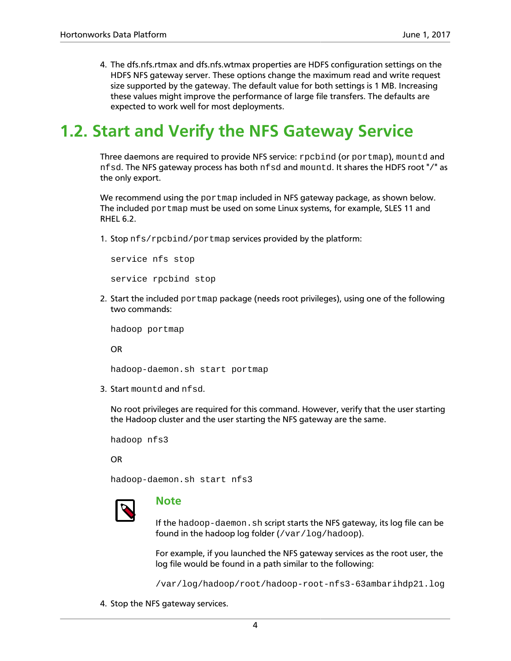4. The dfs.nfs.rtmax and dfs.nfs.wtmax properties are HDFS configuration settings on the HDFS NFS gateway server. These options change the maximum read and write request size supported by the gateway. The default value for both settings is 1 MB. Increasing these values might improve the performance of large file transfers. The defaults are expected to work well for most deployments.

## <span id="page-6-0"></span>**1.2. Start and Verify the NFS Gateway Service**

Three daemons are required to provide NFS service: rpcbind (or portmap), mountd and nfsd. The NFS gateway process has both nfsd and mountd. It shares the HDFS root "/" as the only export.

We recommend using the portmap included in NFS gateway package, as shown below. The included portmap must be used on some Linux systems, for example, SLES 11 and RHEL 6.2.

1. Stop nfs/rpcbind/portmap services provided by the platform:

service nfs stop service rpcbind stop

2. Start the included portmap package (needs root privileges), using one of the following two commands:

hadoop portmap

OR

hadoop-daemon.sh start portmap

3. Start mountd and nfsd.

No root privileges are required for this command. However, verify that the user starting the Hadoop cluster and the user starting the NFS gateway are the same.

hadoop nfs3

OR

hadoop-daemon.sh start nfs3



### **Note**

If the hadoop-daemon.sh script starts the NFS gateway, its log file can be found in the hadoop log folder  $\frac{1}{\sqrt{2}}$  ( $\frac{1}{\sqrt{2}}$ ).

For example, if you launched the NFS gateway services as the root user, the log file would be found in a path similar to the following:

/var/log/hadoop/root/hadoop-root-nfs3-63ambarihdp21.log

4. Stop the NFS gateway services.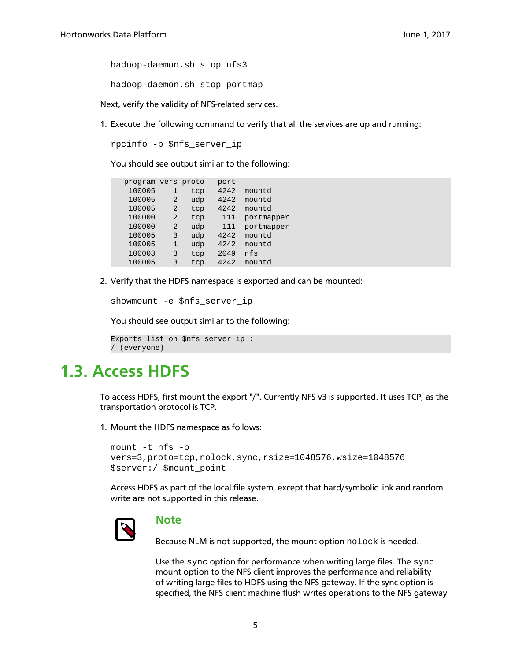hadoop-daemon.sh stop nfs3

hadoop-daemon.sh stop portmap

Next, verify the validity of NFS-related services.

1. Execute the following command to verify that all the services are up and running:

rpcinfo -p \$nfs\_server\_ip

You should see output similar to the following:

| program vers proto |                |     | port |            |
|--------------------|----------------|-----|------|------------|
| 100005             | 1              | tcp | 4242 | mountd     |
| 100005             | $\overline{2}$ | udp | 4242 | mountd     |
| 100005             | $\overline{2}$ | tcp | 4242 | mountd     |
| 100000             | 2              | tcp | 111  | portmapper |
| 100000             | $\overline{2}$ | udp | 111  | portmapper |
| 100005             | 3              | udp | 4242 | mountd     |
| 100005             | 1              | udp | 4242 | mountd     |
| 100003             | 3              | tcp | 2049 | nfs        |
| 100005             | 3              | tcp | 4242 | mountd     |

2. Verify that the HDFS namespace is exported and can be mounted:

showmount -e \$nfs\_server\_ip

You should see output similar to the following:

```
Exports list on $nfs_server_ip :
/ (everyone)
```
## <span id="page-7-0"></span>**1.3. Access HDFS**

To access HDFS, first mount the export "/". Currently NFS v3 is supported. It uses TCP, as the transportation protocol is TCP.

1. Mount the HDFS namespace as follows:

```
mount -t nfs -o
vers=3,proto=tcp,nolock,sync,rsize=1048576,wsize=1048576
$server:/ $mount_point
```
Access HDFS as part of the local file system, except that hard/symbolic link and random write are not supported in this release.



#### **Note**

Because NLM is not supported, the mount option nolock is needed.

Use the sync option for performance when writing large files. The sync mount option to the NFS client improves the performance and reliability of writing large files to HDFS using the NFS gateway. If the sync option is specified, the NFS client machine flush writes operations to the NFS gateway